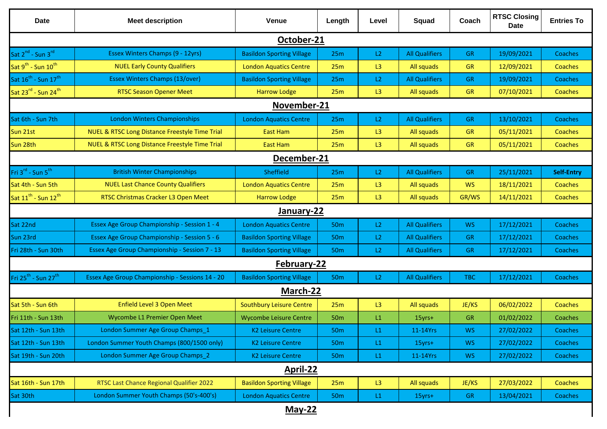| <b>Date</b>                                  | <b>Meet description</b>                                   | <b>Venue</b>                     | Length          | Level         | Squad                 | Coach      | <b>RTSC Closing</b><br><b>Date</b> | <b>Entries To</b> |
|----------------------------------------------|-----------------------------------------------------------|----------------------------------|-----------------|---------------|-----------------------|------------|------------------------------------|-------------------|
| October-21                                   |                                                           |                                  |                 |               |                       |            |                                    |                   |
| Sat 2 <sup>nd</sup> - Sun 3 <sup>rd</sup>    | Essex Winters Champs (9 - 12yrs)                          | <b>Basildon Sporting Village</b> | 25m             | L2            | <b>All Qualifiers</b> | <b>GR</b>  | 19/09/2021                         | Coaches           |
| Sat $9^{th}$ - Sun $10^{th}$                 | <b>NUEL Early County Qualifiers</b>                       | <b>London Aquatics Centre</b>    | 25m             | L3            | All squads            | <b>GR</b>  | 12/09/2021                         | Coaches           |
| Sat 16 <sup>th</sup> - Sun 17 <sup>th</sup>  | <b>Essex Winters Champs (13/over)</b>                     | <b>Basildon Sporting Village</b> | 25m             | L2            | <b>All Qualifiers</b> | <b>GR</b>  | 19/09/2021                         | Coaches           |
| Sat 23 $^{\text{rd}}$ - Sun 24 <sup>th</sup> | <b>RTSC Season Opener Meet</b>                            | <b>Harrow Lodge</b>              | 25m             | L3            | All squads            | <b>GR</b>  | 07/10/2021                         | Coaches           |
| November-21                                  |                                                           |                                  |                 |               |                       |            |                                    |                   |
| Sat 6th - Sun 7th                            | <b>London Winters Championships</b>                       | <b>London Aquatics Centre</b>    | 25m             | L2            | <b>All Qualifiers</b> | GR.        | 13/10/2021                         | Coaches           |
| Sun 21st                                     | <b>NUEL &amp; RTSC Long Distance Freestyle Time Trial</b> | <b>East Ham</b>                  | 25m             | L3            | All squads            | <b>GR</b>  | 05/11/2021                         | Coaches           |
| Sun 28th                                     | NUEL & RTSC Long Distance Freestyle Time Trial            | East Ham                         | 25m             | L3            | All squads            | <b>GR</b>  | 05/11/2021                         | Coaches           |
| December-21                                  |                                                           |                                  |                 |               |                       |            |                                    |                   |
| Fri 3 <sup>rd</sup> - Sun 5 <sup>th</sup>    | <b>British Winter Championships</b>                       | Sheffield                        | 25m             | L2            | <b>All Qualifiers</b> | <b>GR</b>  | 25/11/2021                         | <b>Self-Entry</b> |
| Sat 4th - Sun 5th                            | <b>NUEL Last Chance County Qualifiers</b>                 | <b>London Aquatics Centre</b>    | 25m             | L3            | All squads            | <b>WS</b>  | 18/11/2021                         | Coaches           |
| Sat 11 <sup>th</sup> - Sun 12 <sup>th</sup>  | RTSC Christmas Cracker L3 Open Meet                       | <b>Harrow Lodge</b>              | 25m             | L3            | All squads            | GR/WS      | 14/11/2021                         | Coaches           |
| January-22                                   |                                                           |                                  |                 |               |                       |            |                                    |                   |
| Sat 22nd                                     | Essex Age Group Championship - Session 1 - 4              | <b>London Aquatics Centre</b>    | 50 <sub>m</sub> | L2            | <b>All Qualifiers</b> | <b>WS</b>  | 17/12/2021                         | Coaches           |
| Sun 23rd                                     | Essex Age Group Championship - Session 5 - 6              | <b>Basildon Sporting Village</b> | 50 <sub>m</sub> | L2            | <b>All Qualifiers</b> | <b>GR</b>  | 17/12/2021                         | Coaches           |
| Fri 28th - Sun 30th                          | Essex Age Group Championship - Session 7 - 13             | <b>Basildon Sporting Village</b> | 50 <sub>m</sub> | L2            | <b>All Qualifiers</b> | <b>GR</b>  | 17/12/2021                         | Coaches           |
| February-22                                  |                                                           |                                  |                 |               |                       |            |                                    |                   |
| Fri 25 <sup>th</sup> - Sun 27 <sup>th</sup>  | Essex Age Group Championship - Sessions 14 - 20           | <b>Basildon Sporting Village</b> | <b>50m</b>      | L2            | <b>All Qualifiers</b> | <b>TBC</b> | 17/12/2021                         | Coaches           |
| March-22                                     |                                                           |                                  |                 |               |                       |            |                                    |                   |
| Sat 5th - Sun 6th                            | <b>Enfield Level 3 Open Meet</b>                          | <b>Southbury Leisure Centre</b>  | 25m             | L3            | All squads            | JE/KS      | 06/02/2022                         | Coaches           |
| Fri 11th - Sun 13th                          | Wycombe L1 Premier Open Meet                              | <b>Wycombe Leisure Centre</b>    | 50 <sub>m</sub> | L1            | 15yrs+                | <b>GR</b>  | 01/02/2022                         | Coaches           |
| Sat 12th - Sun 13th                          | London Summer Age Group Champs_1                          | K <sub>2</sub> Leisure Centre    | 50 <sub>m</sub> | $\mathsf{L}1$ | 11-14Yrs              | <b>WS</b>  | 27/02/2022                         | Coaches           |
| Sat 12th - Sun 13th                          | London Summer Youth Champs (800/1500 only)                | <b>K2 Leisure Centre</b>         | 50 <sub>m</sub> | L1            | 15yrs+                | <b>WS</b>  | 27/02/2022                         | Coaches           |
| Sat 19th - Sun 20th                          | London Summer Age Group Champs 2                          | <b>K2 Leisure Centre</b>         | <b>50m</b>      | L1            | 11-14Yrs              | <b>WS</b>  | 27/02/2022                         | Coaches           |
| April-22                                     |                                                           |                                  |                 |               |                       |            |                                    |                   |
| Sat 16th - Sun 17th                          | RTSC Last Chance Regional Qualifier 2022                  | <b>Basildon Sporting Village</b> | 25m             | L3            | All squads            | JE/KS      | 27/03/2022                         | Coaches           |
| Sat 30th                                     | London Summer Youth Champs (50's-400's)                   | <b>London Aquatics Centre</b>    | 50 <sub>m</sub> | L1            | 15yrs+                | <b>GR</b>  | 13/04/2021                         | Coaches           |
|                                              |                                                           | <b>May-22</b>                    |                 |               |                       |            |                                    |                   |